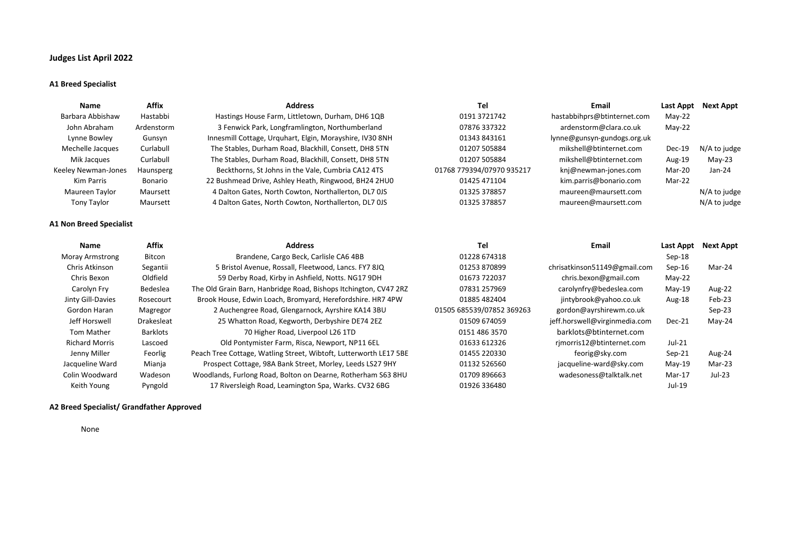# **Judges List April 2022**

#### **A1 Breed Specialist**

| Name                           | <b>Affix</b>      | <b>Address</b>                                                    | Tel                       | <b>Email</b>                  | Last Appt     | <b>Next Appt</b> |
|--------------------------------|-------------------|-------------------------------------------------------------------|---------------------------|-------------------------------|---------------|------------------|
| Barbara Abbishaw               | Hastabbi          | Hastings House Farm, Littletown, Durham, DH6 1QB                  | 0191 3721742              | hastabbihprs@btinternet.com   | $May-22$      |                  |
| John Abraham                   | Ardenstorm        | 3 Fenwick Park, Longframlington, Northumberland                   | 07876 337322              | ardenstorm@clara.co.uk        | $May-22$      |                  |
| Lynne Bowley                   | Gunsyn            | Innesmill Cottage, Urguhart, Elgin, Morayshire, IV30 8NH          | 01343 843161              | lynne@gunsyn-gundogs.org.uk   |               |                  |
| Mechelle Jacques               | Curlabull         | The Stables, Durham Road, Blackhill, Consett, DH8 5TN             | 01207 505884              | mikshell@btinternet.com       | <b>Dec-19</b> | N/A to judge     |
| Mik Jacques                    | Curlabull         | The Stables, Durham Road, Blackhill, Consett, DH8 5TN             | 01207 505884              | mikshell@btinternet.com       | Aug-19        | $May-23$         |
| Keeley Newman-Jones            | Haunsperg         | Beckthorns, St Johns in the Vale, Cumbria CA12 4TS                | 01768 779394/07970 935217 | knj@newman-jones.com          | Mar-20        | Jan-24           |
| <b>Kim Parris</b>              | Bonario           | 22 Bushmead Drive, Ashley Heath, Ringwood, BH24 2HU0              | 01425 471104              | kim.parris@bonario.com        | Mar-22        |                  |
| Maureen Taylor                 | Maursett          | 4 Dalton Gates, North Cowton, Northallerton, DL7 0JS              | 01325 378857              | maureen@maursett.com          |               | N/A to judge     |
| Tony Taylor                    | Maursett          | 4 Dalton Gates, North Cowton, Northallerton, DL7 0JS              | 01325 378857              | maureen@maursett.com          |               | N/A to judge     |
| <b>A1 Non Breed Specialist</b> |                   |                                                                   |                           |                               |               |                  |
| Name                           | <b>Affix</b>      | <b>Address</b>                                                    | Tel                       | Email                         | Last Appt     | Next Appt        |
| <b>Moray Armstrong</b>         | Bitcon            | Brandene, Cargo Beck, Carlisle CA6 4BB                            | 01228 674318              |                               | Sep-18        |                  |
| Chris Atkinson                 | Segantii          | 5 Bristol Avenue, Rossall, Fleetwood, Lancs. FY7 8JQ              | 01253 870899              | chrisatkinson51149@gmail.com  | $Sep-16$      | Mar-24           |
| Chris Bexon                    | Oldfield          | 59 Derby Road, Kirby in Ashfield, Notts. NG17 9DH                 | 01673 722037              | chris.bexon@gmail.com         | $May-22$      |                  |
| Carolyn Fry                    | Bedeslea          | The Old Grain Barn, Hanbridge Road, Bishops Itchington, CV47 2RZ  | 07831 257969              | carolynfry@bedeslea.com       | $May-19$      | Aug-22           |
| Jinty Gill-Davies              | Rosecourt         | Brook House, Edwin Loach, Bromyard, Herefordshire. HR7 4PW        | 01885 482404              | jintybrook@yahoo.co.uk        | Aug-18        | Feb-23           |
| Gordon Haran                   | Magregor          | 2 Auchengree Road, Glengarnock, Ayrshire KA14 3BU                 | 01505 685539/07852 369263 | gordon@ayrshirewm.co.uk       |               | Sep-23           |
| Jeff Horswell                  | <b>Drakesleat</b> | 25 Whatton Road, Kegworth, Derbyshire DE74 2EZ                    | 01509 674059              | jeff.horswell@virginmedia.com | Dec-21        | $May-24$         |
| Tom Mather                     | <b>Barklots</b>   | 70 Higher Road, Liverpool L26 1TD                                 | 0151 486 3570             | barklots@btinternet.com       |               |                  |
| <b>Richard Morris</b>          | Lascoed           | Old Pontymister Farm, Risca, Newport, NP11 6EL                    | 01633 612326              | rimorris12@btinternet.com     | $Jul-21$      |                  |
| Jenny Miller                   | Feorlig           | Peach Tree Cottage, Watling Street, Wibtoft, Lutterworth LE17 5BE | 01455 220330              | feorig@sky.com                | $Sep-21$      | Aug-24           |
| Jacqueline Ward                | Mianja            | Prospect Cottage, 98A Bank Street, Morley, Leeds LS27 9HY         | 01132 526560              | jacqueline-ward@sky.com       | $May-19$      | Mar-23           |
| Colin Woodward                 | Wadeson           | Woodlands, Furlong Road, Bolton on Dearne, Rotherham S63 8HU      | 01709 896663              | wadesoness@talktalk.net       | $Mar-17$      | Jul-23           |
| Keith Young                    | Pyngold           | 17 Riversleigh Road, Leamington Spa, Warks. CV32 6BG              | 01926 336480              |                               | Jul-19        |                  |

## **A2 Breed Specialist/ Grandfather Approved**

None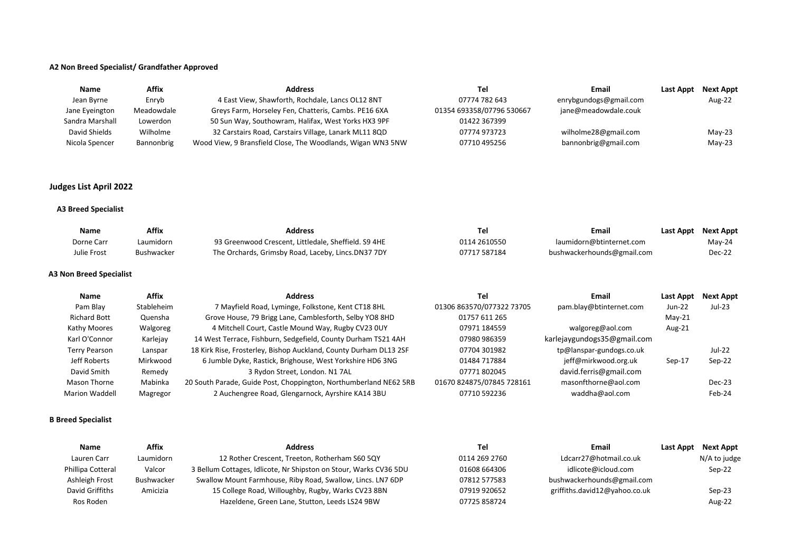#### **A2 Non Breed Specialist/ Grandfather Approved**

| Name            | Affix      | <b>Address</b>                                              | Tel                       | Email                  | Last Appt | Next Appt |
|-----------------|------------|-------------------------------------------------------------|---------------------------|------------------------|-----------|-----------|
| Jean Byrne      | Enrvb      | 4 East View, Shawforth, Rochdale, Lancs OL12 8NT            | 07774 782 643             | enrybgundogs@gmail.com |           | Aug-22    |
| Jane Eyeington  | Meadowdale | Greys Farm, Horseley Fen, Chatteris, Cambs. PE16 6XA        | 01354 693358/07796 530667 | jane@meadowdale.couk   |           |           |
| Sandra Marshall | Lowerdon   | 50 Sun Way, Southowram, Halifax, West Yorks HX3 9PF         | 01422 367399              |                        |           |           |
| David Shields   | Wilholme   | 32 Carstairs Road, Carstairs Village, Lanark ML11 8QD       | 07774 973723              | wilholme28@gmail.com   |           | $May-23$  |
| Nicola Spencer  | Bannonbrig | Wood View, 9 Bransfield Close, The Woodlands, Wigan WN3 5NW | 07710 495256              | bannonbrig@gmail.com   |           | $May-23$  |

# **Judges List April 2022**

## **A3 Breed Specialist**

| Name        | Affix      | <b>Address</b>                                       |              | Email                      | Last Appt | Next Appt |
|-------------|------------|------------------------------------------------------|--------------|----------------------------|-----------|-----------|
| Dorne Carr  | Laumidorn  | 93 Greenwood Crescent, Littledale, Sheffield. S9 4HE | 0114 2610550 | laumidorn@btinternet.com   |           | Mav-24    |
| Julie Frost | Bushwacker | The Orchards, Grimsby Road, Laceby, Lincs.DN37 7DY   | 07717 587184 | bushwackerhounds@gmail.com |           | Dec-22    |

## **A3 Non Breed Specialist**

| <b>Name</b>           | <b>Affix</b> | <b>Address</b>                                                    | Tel                       | Email                       | Last Appt | <b>Next Appt</b> |
|-----------------------|--------------|-------------------------------------------------------------------|---------------------------|-----------------------------|-----------|------------------|
| Pam Blay              | Stableheim   | 7 Mayfield Road, Lyminge, Folkstone, Kent CT18 8HL                | 01306 863570/077322 73705 | pam.blay@btinternet.com     | $Jun-22$  | Jul-23           |
| <b>Richard Bott</b>   | Quensha      | Grove House, 79 Brigg Lane, Camblesforth, Selby YO8 8HD           | 01757 611 265             |                             | $May-21$  |                  |
| Kathy Moores          | Walgoreg     | 4 Mitchell Court, Castle Mound Way, Rugby CV23 0UY                | 07971 184559              | walgoreg@aol.com            | Aug-21    |                  |
| Karl O'Connor         | Karlejay     | 14 West Terrace, Fishburn, Sedgefield, County Durham TS21 4AH     | 07980 986359              | karlejaygundogs35@gmail.com |           |                  |
| <b>Terry Pearson</b>  | Lanspar      | 18 Kirk Rise, Frosterley, Bishop Auckland, County Durham DL13 2SF | 07704 301982              | tp@lanspar-gundogs.co.uk    |           | <b>Jul-22</b>    |
| Jeff Roberts          | Mirkwood     | 6 Jumble Dyke, Rastick, Brighouse, West Yorkshire HD6 3NG         | 01484 717884              | jeff@mirkwood.org.uk        | $Sep-17$  | Sep-22           |
| David Smith           | Remedy       | 3 Rydon Street, London. N1 7AL                                    | 07771 802045              | david.ferris@gmail.com      |           |                  |
| Mason Thorne          | Mabinka      | 20 South Parade, Guide Post, Choppington, Northumberland NE62 5RB | 01670 824875/07845 728161 | masonfthorne@aol.com        |           | Dec-23           |
| <b>Marion Waddell</b> | Magregor     | 2 Auchengree Road, Glengarnock, Ayrshire KA14 3BU                 | 07710 592236              | waddha@aol.com              |           | Feb-24           |

## **B Breed Specialist**

| <b>Name</b>       | Affix      | <b>Address</b>                                                    | Tel           | Email                         | Last Appt Next Appt |
|-------------------|------------|-------------------------------------------------------------------|---------------|-------------------------------|---------------------|
| Lauren Carr       | Laumidorn  | 12 Rother Crescent, Treeton, Rotherham S60 5QY                    | 0114 269 2760 | Ldcarr27@hotmail.co.uk        | N/A to judge        |
| Phillipa Cotteral | Valcor     | 3 Bellum Cottages, Idlicote, Nr Shipston on Stour, Warks CV36 5DU | 01608 664306  | idlicote@icloud.com           | Sep-22              |
| Ashleigh Frost    | Bushwacker | Swallow Mount Farmhouse, Riby Road, Swallow, Lincs. LN7 6DP       | 07812 577583  | bushwackerhounds@gmail.com    |                     |
| David Griffiths   | Amicizia   | 15 College Road, Willoughby, Rugby, Warks CV23 8BN                | 07919 920652  | griffiths.david12@yahoo.co.uk | Sep-23              |
| Ros Roden         |            | Hazeldene, Green Lane, Stutton, Leeds LS24 9BW                    | 07725 858724  |                               | Aug-22              |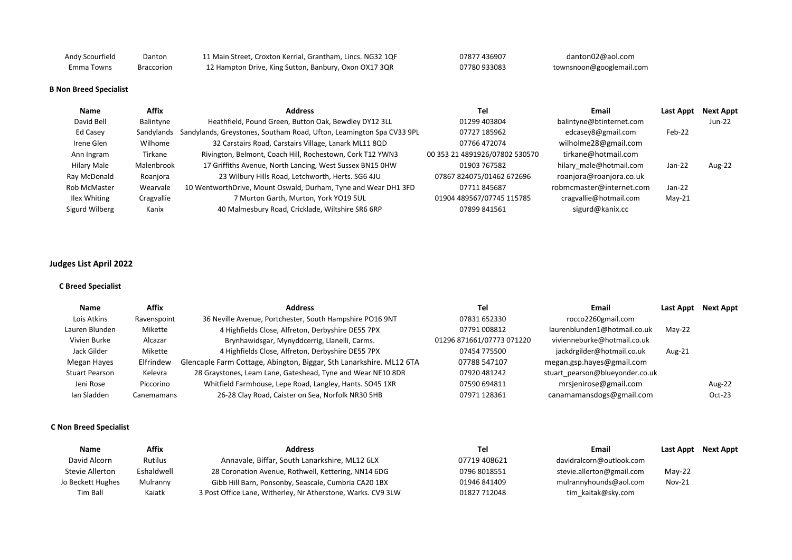| Andy Scourfield | Danton     | 11 Main Street, Croxton Kerrial, Grantham, Lincs. NG32 1QF | 07877 436907 | danton02@aol.com         |
|-----------------|------------|------------------------------------------------------------|--------------|--------------------------|
| Emma Towns      | Braccorion | 12 Hampton Drive, King Sutton, Banbury, Oxon OX17 3QR      | 07780 933083 | townsnoon@googlemail.com |

#### **B Non Breed Specialist**

| Name           | Affix      | <b>Address</b>                                                       | Tel                            | Email                    | Last Appt | Next Appt |
|----------------|------------|----------------------------------------------------------------------|--------------------------------|--------------------------|-----------|-----------|
| David Bell     | Balintyne  | Heathfield, Pound Green, Button Oak, Bewdley DY12 3LL                | 01299 403804                   | balintyne@btinternet.com |           | Jun-22    |
| Ed Casey       | Sandylands | Sandylands, Greystones, Southam Road, Ufton, Leamington Spa CV33 9PL | 07727 185962                   | edcasey8@gmail.com       | Feb-22    |           |
| Irene Glen     | Wilhome    | 32 Carstairs Road, Carstairs Village, Lanark ML11 8QD                | 07766 472074                   | wilholme28@gmail.com     |           |           |
| Ann Ingram     | Tirkane    | Rivington, Belmont, Coach Hill, Rochestown, Cork T12 YWN3            | 00 353 21 4891926/07802 530570 | tirkane@hotmail.com      |           |           |
| Hilary Male    | Malenbrook | 17 Griffiths Avenue, North Lancing, West Sussex BN15 0HW             | 01903 767582                   | hilary male@hotmail.com  | Jan-22    | Aug-22    |
| Ray McDonald   | Roanjora   | 23 Wilbury Hills Road, Letchworth, Herts. SG6 4JU                    | 07867 824075/01462 672696      | roanjora@roanjora.co.uk  |           |           |
| Rob McMaster   | Wearvale   | 10 WentworthDrive, Mount Oswald, Durham, Tyne and Wear DH1 3FD       | 07711845687                    | robmcmaster@internet.com | Jan-22    |           |
| Ilex Whiting   | Cragvallie | 7 Murton Garth, Murton, York YO19 5UL                                | 01904 489567/07745 115785      | cragvallie@hotmail.com   | $May-21$  |           |
| Sigurd Wilberg | Kanix      | 40 Malmesbury Road, Cricklade, Wiltshire SR6 6RP                     | 07899 841561                   | sigurd@kanix.cc          |           |           |

# **Judges List April 2022**

## **C Breed Specialist**

| Name                  | Affix       | <b>Address</b>                                                      | Tel                       | Email                           | Last Appt | <b>Next Appt</b> |
|-----------------------|-------------|---------------------------------------------------------------------|---------------------------|---------------------------------|-----------|------------------|
| Lois Atkins           | Ravenspoint | 36 Neville Avenue, Portchester, South Hampshire PO16 9NT            | 07831 652330              | rocco2260gmail.com              |           |                  |
| Lauren Blunden        | Mikette     | 4 Highfields Close, Alfreton, Derbyshire DE55 7PX                   | 07791 008812              | laurenblunden1@hotmail.co.uk    | $May-22$  |                  |
| Vivien Burke          | Alcazar     | Brynhawidsgar, Mynyddcerrig, Llanelli, Carms.                       | 01296 871661/07773 071220 | vivienneburke@hotmail.co.uk     |           |                  |
| Jack Gilder           | Mikette     | 4 Highfields Close, Alfreton, Derbyshire DE55 7PX                   | 07454 775500              | jackdrgilder@hotmail.co.uk      | Aug-21    |                  |
| Megan Hayes           | Elfrindew   | Glencaple Farm Cottage, Abington, Biggar, Sth Lanarkshire. ML12 6TA | 07788 547107              | megan.gsp.hayes@gmail.com       |           |                  |
| <b>Stuart Pearson</b> | Kelevra     | 28 Graystones, Leam Lane, Gateshead, Tyne and Wear NE10 8DR         | 07920 481242              | stuart pearson@blueyonder.co.uk |           |                  |
| Jeni Rose             | Piccorino   | Whitfield Farmhouse, Lepe Road, Langley, Hants. SO45 1XR            | 07590 694811              | mrsjenirose@gmail.com           |           | Aug-22           |
| Ian Sladden           | Canemamans  | 26-28 Clay Road, Caister on Sea, Norfolk NR30 5HB                   | 07971 128361              | canamamansdogs@gmail.com        |           | $Oct-23$         |

#### **C Non Breed Specialist**

| Name              | Affix          | <b>Address</b>                                               | Tel          | Email                     | Last Appt     | <b>Next Appt</b> |
|-------------------|----------------|--------------------------------------------------------------|--------------|---------------------------|---------------|------------------|
| David Alcorn      | <b>Rutilus</b> | Annavale, Biffar, South Lanarkshire, ML12 6LX                | 07719 408621 | davidralcorn@outlook.com  |               |                  |
| Stevie Allerton   | Eshaldwell     | 28 Coronation Avenue, Rothwell, Kettering, NN14 6DG          | 0796 8018551 | stevie.allerton@gmail.com | $May-22$      |                  |
| Jo Beckett Hughes | Mulranny       | Gibb Hill Barn, Ponsonby, Seascale, Cumbria CA20 1BX         | 01946 841409 | mulrannyhounds@aol.com    | <b>Nov-21</b> |                  |
| Tim Ball          | Kaiatk         | 3 Post Office Lane, Witherley, Nr Atherstone, Warks. CV9 3LW | 01827 712048 | tim kaitak@sky.com        |               |                  |